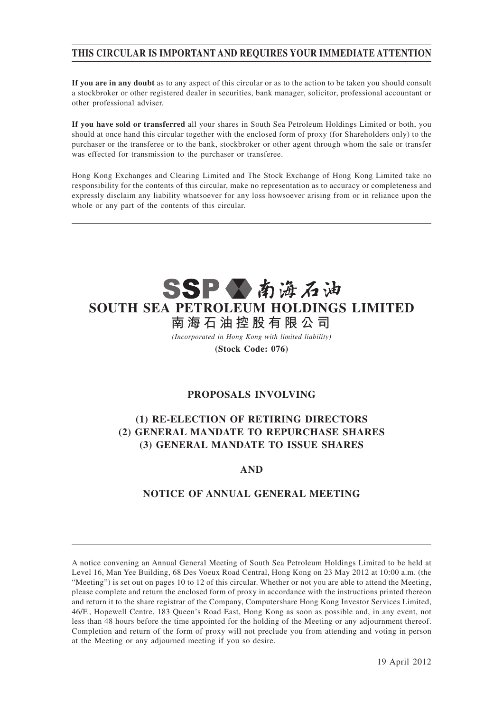### **THIS CIRCULAR IS IMPORTANT AND REQUIRES YOUR IMMEDIATE ATTENTION**

**If you are in any doubt** as to any aspect of this circular or as to the action to be taken you should consult a stockbroker or other registered dealer in securities, bank manager, solicitor, professional accountant or other professional adviser.

**If you have sold or transferred** all your shares in South Sea Petroleum Holdings Limited or both, you should at once hand this circular together with the enclosed form of proxy (for Shareholders only) to the purchaser or the transferee or to the bank, stockbroker or other agent through whom the sale or transfer was effected for transmission to the purchaser or transferee.

Hong Kong Exchanges and Clearing Limited and The Stock Exchange of Hong Kong Limited take no responsibility for the contents of this circular, make no representation as to accuracy or completeness and expressly disclaim any liability whatsoever for any loss howsoever arising from or in reliance upon the whole or any part of the contents of this circular.



**(Stock Code: 076)**

### **PROPOSALS INVOLVING**

### **(1) RE-ELECTION OF RETIRING DIRECTORS (2) GENERAL MANDATE TO REPURCHASE SHARES (3) GENERAL MANDATE TO ISSUE SHARES**

### **AND**

### **NOTICE OF ANNUAL GENERAL MEETING**

A notice convening an Annual General Meeting of South Sea Petroleum Holdings Limited to be held at Level 16, Man Yee Building, 68 Des Voeux Road Central, Hong Kong on 23 May 2012 at 10:00 a.m. (the "Meeting") is set out on pages 10 to 12 of this circular. Whether or not you are able to attend the Meeting, please complete and return the enclosed form of proxy in accordance with the instructions printed thereon and return it to the share registrar of the Company, Computershare Hong Kong Investor Services Limited, 46/F., Hopewell Centre, 183 Queen's Road East, Hong Kong as soon as possible and, in any event, not less than 48 hours before the time appointed for the holding of the Meeting or any adjournment thereof. Completion and return of the form of proxy will not preclude you from attending and voting in person at the Meeting or any adjourned meeting if you so desire.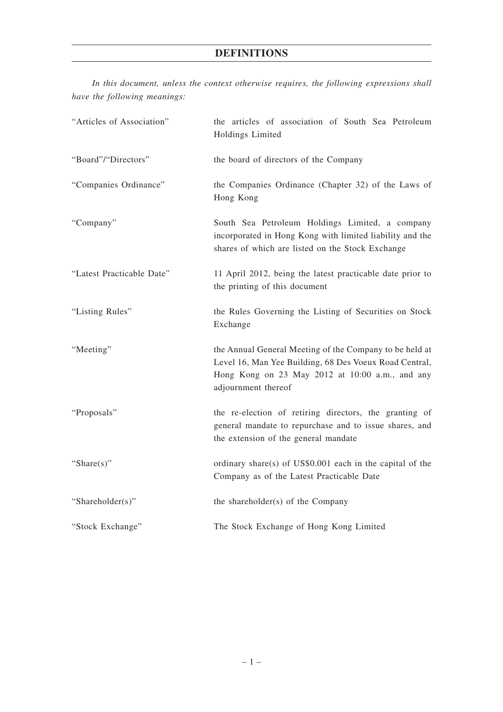### **DEFINITIONS**

*In this document, unless the context otherwise requires, the following expressions shall have the following meanings:*

| "Articles of Association" | the articles of association of South Sea Petroleum<br>Holdings Limited                                                                                                                      |  |
|---------------------------|---------------------------------------------------------------------------------------------------------------------------------------------------------------------------------------------|--|
| "Board"/"Directors"       | the board of directors of the Company                                                                                                                                                       |  |
| "Companies Ordinance"     | the Companies Ordinance (Chapter 32) of the Laws of<br>Hong Kong                                                                                                                            |  |
| "Company"                 | South Sea Petroleum Holdings Limited, a company<br>incorporated in Hong Kong with limited liability and the<br>shares of which are listed on the Stock Exchange                             |  |
| "Latest Practicable Date" | 11 April 2012, being the latest practicable date prior to<br>the printing of this document                                                                                                  |  |
| "Listing Rules"           | the Rules Governing the Listing of Securities on Stock<br>Exchange                                                                                                                          |  |
| "Meeting"                 | the Annual General Meeting of the Company to be held at<br>Level 16, Man Yee Building, 68 Des Voeux Road Central,<br>Hong Kong on 23 May 2012 at 10:00 a.m., and any<br>adjournment thereof |  |
| "Proposals"               | the re-election of retiring directors, the granting of<br>general mandate to repurchase and to issue shares, and<br>the extension of the general mandate                                    |  |
| "Share $(s)$ "            | ordinary share(s) of US\$0.001 each in the capital of the<br>Company as of the Latest Practicable Date                                                                                      |  |
| "Shareholder(s)"          | the shareholder(s) of the Company                                                                                                                                                           |  |
| "Stock Exchange"          | The Stock Exchange of Hong Kong Limited                                                                                                                                                     |  |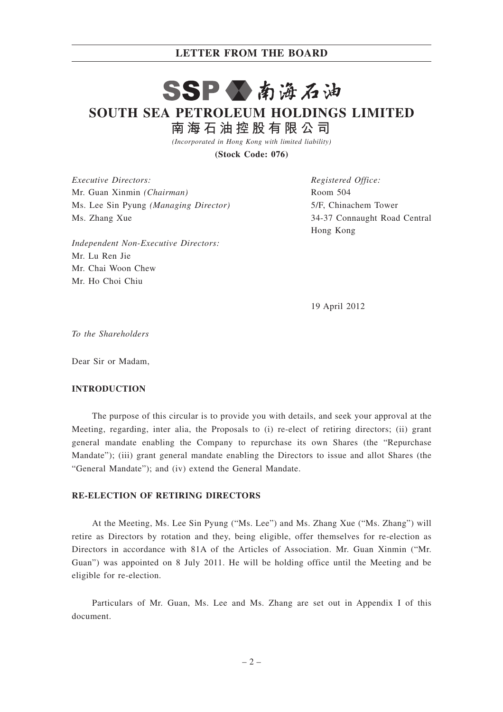### **LETTER FROM THE BOARD**

# SSPV南海石油

**SOUTH SEA PETROLEUM HOLDINGS LIMITED**

**南 海 石 油 控 股 有 限 公 司**

*(Incorporated in Hong Kong with limited liability)*

**(Stock Code: 076)**

*Executive Directors:* Mr. Guan Xinmin *(Chairman)* Ms. Lee Sin Pyung *(Managing Director)* Ms. Zhang Xue

*Independent Non-Executive Directors:* Mr. Lu Ren Jie Mr. Chai Woon Chew Mr. Ho Choi Chiu

*Registered Office:* Room 504 5/F, Chinachem Tower 34-37 Connaught Road Central Hong Kong

19 April 2012

*To the Shareholders*

Dear Sir or Madam,

### **INTRODUCTION**

The purpose of this circular is to provide you with details, and seek your approval at the Meeting, regarding, inter alia, the Proposals to (i) re-elect of retiring directors; (ii) grant general mandate enabling the Company to repurchase its own Shares (the "Repurchase Mandate"); (iii) grant general mandate enabling the Directors to issue and allot Shares (the "General Mandate"); and (iv) extend the General Mandate.

### **RE-ELECTION OF RETIRING DIRECTORS**

At the Meeting, Ms. Lee Sin Pyung ("Ms. Lee") and Ms. Zhang Xue ("Ms. Zhang") will retire as Directors by rotation and they, being eligible, offer themselves for re-election as Directors in accordance with 81A of the Articles of Association. Mr. Guan Xinmin ("Mr. Guan") was appointed on 8 July 2011. He will be holding office until the Meeting and be eligible for re-election.

Particulars of Mr. Guan, Ms. Lee and Ms. Zhang are set out in Appendix I of this document.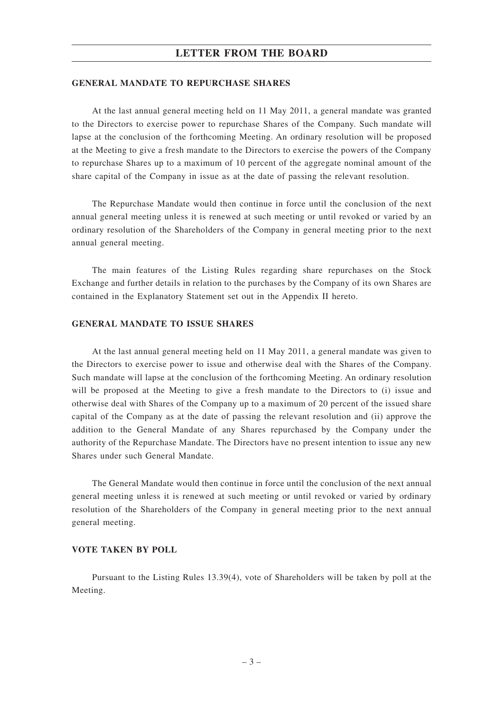### **LETTER FROM THE BOARD**

### **GENERAL MANDATE TO REPURCHASE SHARES**

At the last annual general meeting held on 11 May 2011, a general mandate was granted to the Directors to exercise power to repurchase Shares of the Company. Such mandate will lapse at the conclusion of the forthcoming Meeting. An ordinary resolution will be proposed at the Meeting to give a fresh mandate to the Directors to exercise the powers of the Company to repurchase Shares up to a maximum of 10 percent of the aggregate nominal amount of the share capital of the Company in issue as at the date of passing the relevant resolution.

The Repurchase Mandate would then continue in force until the conclusion of the next annual general meeting unless it is renewed at such meeting or until revoked or varied by an ordinary resolution of the Shareholders of the Company in general meeting prior to the next annual general meeting.

The main features of the Listing Rules regarding share repurchases on the Stock Exchange and further details in relation to the purchases by the Company of its own Shares are contained in the Explanatory Statement set out in the Appendix II hereto.

### **GENERAL MANDATE TO ISSUE SHARES**

At the last annual general meeting held on 11 May 2011, a general mandate was given to the Directors to exercise power to issue and otherwise deal with the Shares of the Company. Such mandate will lapse at the conclusion of the forthcoming Meeting. An ordinary resolution will be proposed at the Meeting to give a fresh mandate to the Directors to (i) issue and otherwise deal with Shares of the Company up to a maximum of 20 percent of the issued share capital of the Company as at the date of passing the relevant resolution and (ii) approve the addition to the General Mandate of any Shares repurchased by the Company under the authority of the Repurchase Mandate. The Directors have no present intention to issue any new Shares under such General Mandate.

The General Mandate would then continue in force until the conclusion of the next annual general meeting unless it is renewed at such meeting or until revoked or varied by ordinary resolution of the Shareholders of the Company in general meeting prior to the next annual general meeting.

### **VOTE TAKEN BY POLL**

Pursuant to the Listing Rules 13.39(4), vote of Shareholders will be taken by poll at the Meeting.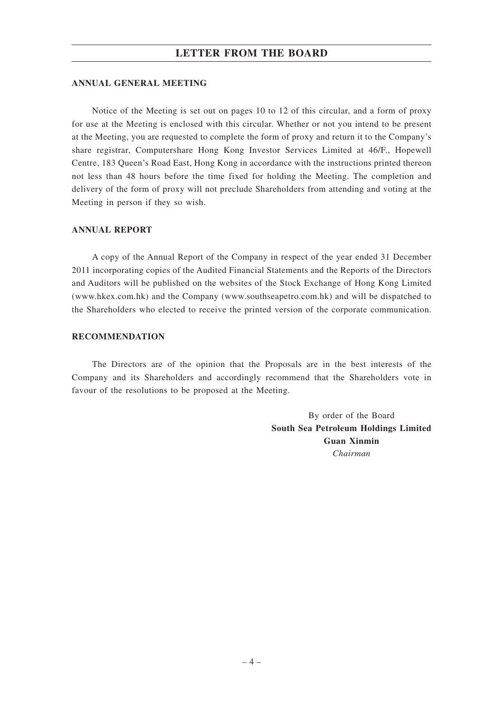### **LETTER FROM THE BOARD**

### **ANNUAL GENERAL MEETING**

Notice of the Meeting is set out on pages 10 to 12 of this circular, and a form of proxy for use at the Meeting is enclosed with this circular. Whether or not you intend to be present at the Meeting, you are requested to complete the form of proxy and return it to the Company's share registrar, Computershare Hong Kong Investor Services Limited at 46/F., Hopewell Centre, 183 Queen's Road East, Hong Kong in accordance with the instructions printed thereon not less than 48 hours before the time fixed for holding the Meeting. The completion and delivery of the form of proxy will not preclude Shareholders from attending and voting at the Meeting in person if they so wish.

### **ANNUAL REPORT**

A copy of the Annual Report of the Company in respect of the year ended 31 December 2011 incorporating copies of the Audited Financial Statements and the Reports of the Directors and Auditors will be published on the websites of the Stock Exchange of Hong Kong Limited (www.hkex.com.hk) and the Company (www.southseapetro.com.hk) and will be dispatched to the Shareholders who elected to receive the printed version of the corporate communication.

### **RECOMMENDATION**

The Directors are of the opinion that the Proposals are in the best interests of the Company and its Shareholders and accordingly recommend that the Shareholders vote in favour of the resolutions to be proposed at the Meeting.

> By order of the Board **South Sea Petroleum Holdings Limited Guan Xinmin** *Chairman*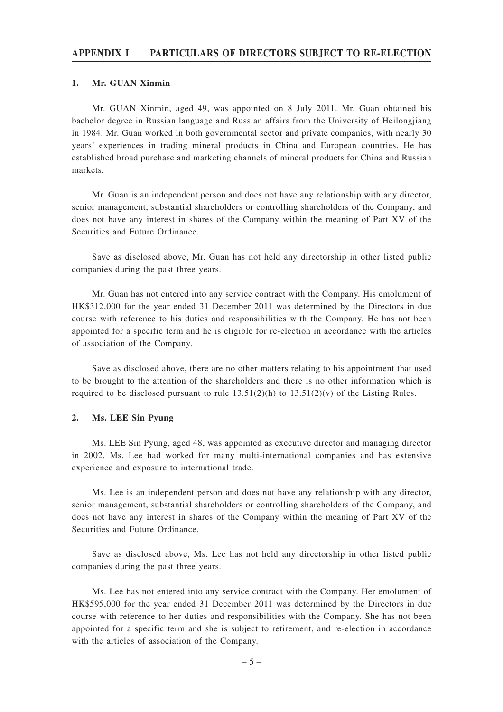### **APPENDIX I PARTICULARS OF DIRECTORS SUBJECT TO RE-ELECTION**

### **1. Mr. GUAN Xinmin**

Mr. GUAN Xinmin, aged 49, was appointed on 8 July 2011. Mr. Guan obtained his bachelor degree in Russian language and Russian affairs from the University of Heilongjiang in 1984. Mr. Guan worked in both governmental sector and private companies, with nearly 30 years' experiences in trading mineral products in China and European countries. He has established broad purchase and marketing channels of mineral products for China and Russian markets.

Mr. Guan is an independent person and does not have any relationship with any director, senior management, substantial shareholders or controlling shareholders of the Company, and does not have any interest in shares of the Company within the meaning of Part XV of the Securities and Future Ordinance.

Save as disclosed above, Mr. Guan has not held any directorship in other listed public companies during the past three years.

Mr. Guan has not entered into any service contract with the Company. His emolument of HK\$312,000 for the year ended 31 December 2011 was determined by the Directors in due course with reference to his duties and responsibilities with the Company. He has not been appointed for a specific term and he is eligible for re-election in accordance with the articles of association of the Company.

Save as disclosed above, there are no other matters relating to his appointment that used to be brought to the attention of the shareholders and there is no other information which is required to be disclosed pursuant to rule  $13.51(2)(h)$  to  $13.51(2)(v)$  of the Listing Rules.

### **2. Ms. LEE Sin Pyung**

Ms. LEE Sin Pyung, aged 48, was appointed as executive director and managing director in 2002. Ms. Lee had worked for many multi-international companies and has extensive experience and exposure to international trade.

Ms. Lee is an independent person and does not have any relationship with any director, senior management, substantial shareholders or controlling shareholders of the Company, and does not have any interest in shares of the Company within the meaning of Part XV of the Securities and Future Ordinance.

Save as disclosed above, Ms. Lee has not held any directorship in other listed public companies during the past three years.

Ms. Lee has not entered into any service contract with the Company. Her emolument of HK\$595,000 for the year ended 31 December 2011 was determined by the Directors in due course with reference to her duties and responsibilities with the Company. She has not been appointed for a specific term and she is subject to retirement, and re-election in accordance with the articles of association of the Company.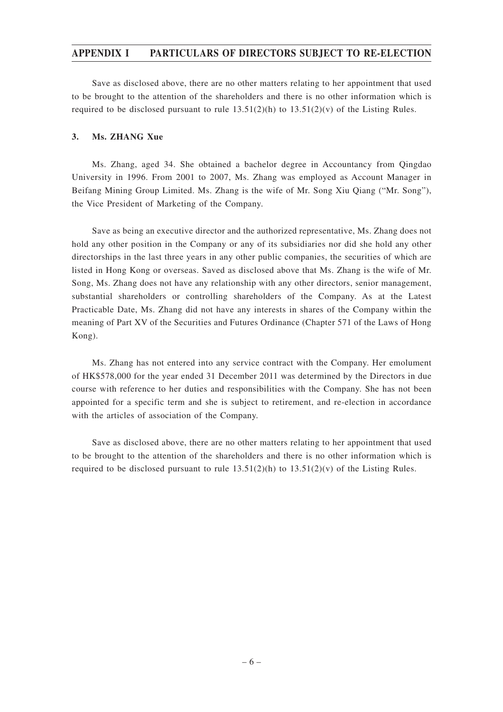### **APPENDIX I PARTICULARS OF DIRECTORS SUBJECT TO RE-ELECTION**

Save as disclosed above, there are no other matters relating to her appointment that used to be brought to the attention of the shareholders and there is no other information which is required to be disclosed pursuant to rule  $13.51(2)(h)$  to  $13.51(2)(v)$  of the Listing Rules.

### **3. Ms. ZHANG Xue**

Ms. Zhang, aged 34. She obtained a bachelor degree in Accountancy from Qingdao University in 1996. From 2001 to 2007, Ms. Zhang was employed as Account Manager in Beifang Mining Group Limited. Ms. Zhang is the wife of Mr. Song Xiu Qiang ("Mr. Song"), the Vice President of Marketing of the Company.

Save as being an executive director and the authorized representative, Ms. Zhang does not hold any other position in the Company or any of its subsidiaries nor did she hold any other directorships in the last three years in any other public companies, the securities of which are listed in Hong Kong or overseas. Saved as disclosed above that Ms. Zhang is the wife of Mr. Song, Ms. Zhang does not have any relationship with any other directors, senior management, substantial shareholders or controlling shareholders of the Company. As at the Latest Practicable Date, Ms. Zhang did not have any interests in shares of the Company within the meaning of Part XV of the Securities and Futures Ordinance (Chapter 571 of the Laws of Hong Kong).

Ms. Zhang has not entered into any service contract with the Company. Her emolument of HK\$578,000 for the year ended 31 December 2011 was determined by the Directors in due course with reference to her duties and responsibilities with the Company. She has not been appointed for a specific term and she is subject to retirement, and re-election in accordance with the articles of association of the Company.

Save as disclosed above, there are no other matters relating to her appointment that used to be brought to the attention of the shareholders and there is no other information which is required to be disclosed pursuant to rule  $13.51(2)(h)$  to  $13.51(2)(v)$  of the Listing Rules.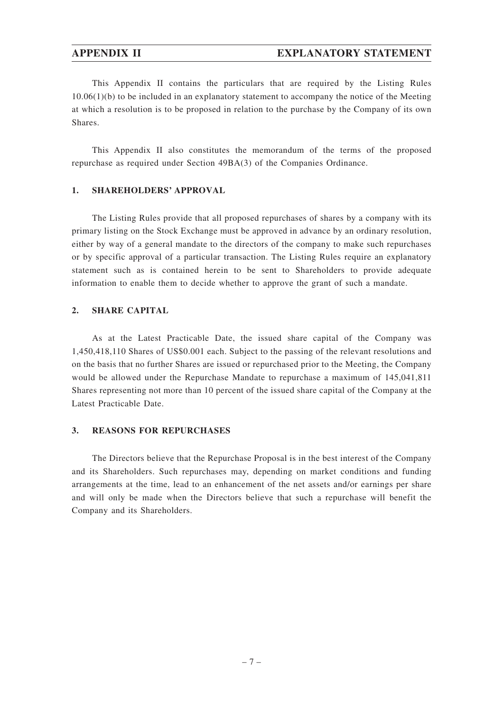### **APPENDIX II EXPLANATORY STATEMENT**

This Appendix II contains the particulars that are required by the Listing Rules  $10.06(1)(b)$  to be included in an explanatory statement to accompany the notice of the Meeting at which a resolution is to be proposed in relation to the purchase by the Company of its own Shares.

This Appendix II also constitutes the memorandum of the terms of the proposed repurchase as required under Section 49BA(3) of the Companies Ordinance.

### **1. SHAREHOLDERS' APPROVAL**

The Listing Rules provide that all proposed repurchases of shares by a company with its primary listing on the Stock Exchange must be approved in advance by an ordinary resolution, either by way of a general mandate to the directors of the company to make such repurchases or by specific approval of a particular transaction. The Listing Rules require an explanatory statement such as is contained herein to be sent to Shareholders to provide adequate information to enable them to decide whether to approve the grant of such a mandate.

### **2. SHARE CAPITAL**

As at the Latest Practicable Date, the issued share capital of the Company was 1,450,418,110 Shares of US\$0.001 each. Subject to the passing of the relevant resolutions and on the basis that no further Shares are issued or repurchased prior to the Meeting, the Company would be allowed under the Repurchase Mandate to repurchase a maximum of 145,041,811 Shares representing not more than 10 percent of the issued share capital of the Company at the Latest Practicable Date.

### **3. REASONS FOR REPURCHASES**

The Directors believe that the Repurchase Proposal is in the best interest of the Company and its Shareholders. Such repurchases may, depending on market conditions and funding arrangements at the time, lead to an enhancement of the net assets and/or earnings per share and will only be made when the Directors believe that such a repurchase will benefit the Company and its Shareholders.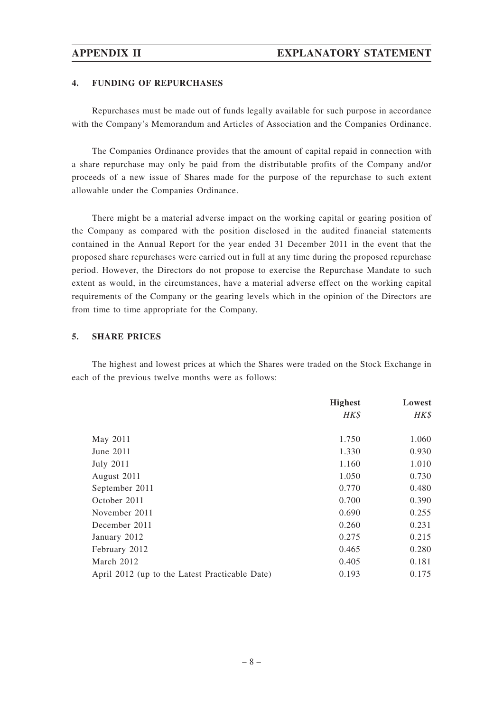### **4. FUNDING OF REPURCHASES**

Repurchases must be made out of funds legally available for such purpose in accordance with the Company's Memorandum and Articles of Association and the Companies Ordinance.

The Companies Ordinance provides that the amount of capital repaid in connection with a share repurchase may only be paid from the distributable profits of the Company and/or proceeds of a new issue of Shares made for the purpose of the repurchase to such extent allowable under the Companies Ordinance.

There might be a material adverse impact on the working capital or gearing position of the Company as compared with the position disclosed in the audited financial statements contained in the Annual Report for the year ended 31 December 2011 in the event that the proposed share repurchases were carried out in full at any time during the proposed repurchase period. However, the Directors do not propose to exercise the Repurchase Mandate to such extent as would, in the circumstances, have a material adverse effect on the working capital requirements of the Company or the gearing levels which in the opinion of the Directors are from time to time appropriate for the Company.

### **5. SHARE PRICES**

The highest and lowest prices at which the Shares were traded on the Stock Exchange in each of the previous twelve months were as follows:

|                                                | <b>Highest</b> | Lowest |
|------------------------------------------------|----------------|--------|
|                                                | HK\$           | HK\$   |
|                                                |                |        |
| May 2011                                       | 1.750          | 1.060  |
| June 2011                                      | 1.330          | 0.930  |
| <b>July 2011</b>                               | 1.160          | 1.010  |
| August 2011                                    | 1.050          | 0.730  |
| September 2011                                 | 0.770          | 0.480  |
| October 2011                                   | 0.700          | 0.390  |
| November 2011                                  | 0.690          | 0.255  |
| December 2011                                  | 0.260          | 0.231  |
| January 2012                                   | 0.275          | 0.215  |
| February 2012                                  | 0.465          | 0.280  |
| March 2012                                     | 0.405          | 0.181  |
| April 2012 (up to the Latest Practicable Date) | 0.193          | 0.175  |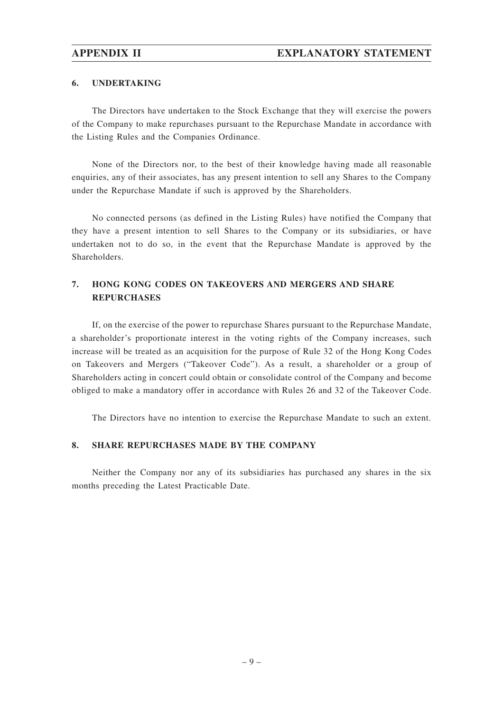### **6. UNDERTAKING**

The Directors have undertaken to the Stock Exchange that they will exercise the powers of the Company to make repurchases pursuant to the Repurchase Mandate in accordance with the Listing Rules and the Companies Ordinance.

None of the Directors nor, to the best of their knowledge having made all reasonable enquiries, any of their associates, has any present intention to sell any Shares to the Company under the Repurchase Mandate if such is approved by the Shareholders.

No connected persons (as defined in the Listing Rules) have notified the Company that they have a present intention to sell Shares to the Company or its subsidiaries, or have undertaken not to do so, in the event that the Repurchase Mandate is approved by the Shareholders.

### **7. HONG KONG CODES ON TAKEOVERS AND MERGERS AND SHARE REPURCHASES**

If, on the exercise of the power to repurchase Shares pursuant to the Repurchase Mandate, a shareholder's proportionate interest in the voting rights of the Company increases, such increase will be treated as an acquisition for the purpose of Rule 32 of the Hong Kong Codes on Takeovers and Mergers ("Takeover Code"). As a result, a shareholder or a group of Shareholders acting in concert could obtain or consolidate control of the Company and become obliged to make a mandatory offer in accordance with Rules 26 and 32 of the Takeover Code.

The Directors have no intention to exercise the Repurchase Mandate to such an extent.

### **8. SHARE REPURCHASES MADE BY THE COMPANY**

Neither the Company nor any of its subsidiaries has purchased any shares in the six months preceding the Latest Practicable Date.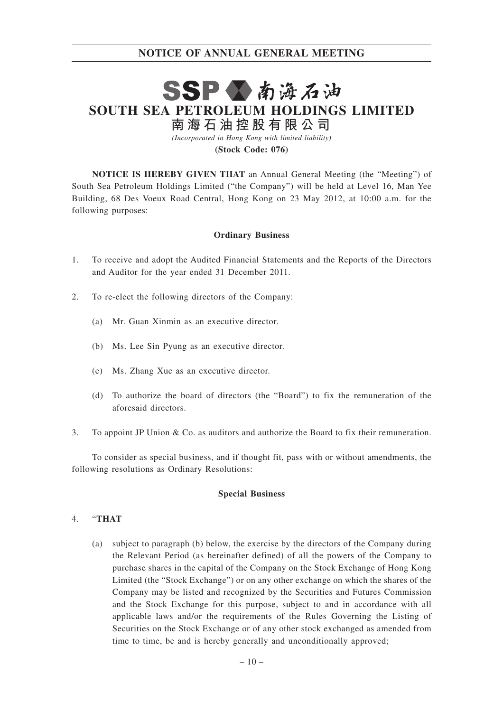### **NOTICE OF ANNUAL GENERAL MEETING**

## SSP公南海石油 **SOUTH SEA PETROLEUM HOLDINGS LIMITED 南 海 石 油 控 股 有 限 公 司**

*(Incorporated in Hong Kong with limited liability)* **(Stock Code: 076)**

**NOTICE IS HEREBY GIVEN THAT** an Annual General Meeting (the "Meeting") of South Sea Petroleum Holdings Limited ("the Company") will be held at Level 16, Man Yee Building, 68 Des Voeux Road Central, Hong Kong on 23 May 2012, at 10:00 a.m. for the following purposes:

### **Ordinary Business**

- 1. To receive and adopt the Audited Financial Statements and the Reports of the Directors and Auditor for the year ended 31 December 2011.
- 2. To re-elect the following directors of the Company:
	- (a) Mr. Guan Xinmin as an executive director.
	- (b) Ms. Lee Sin Pyung as an executive director.
	- (c) Ms. Zhang Xue as an executive director.
	- (d) To authorize the board of directors (the "Board") to fix the remuneration of the aforesaid directors.
- 3. To appoint JP Union & Co. as auditors and authorize the Board to fix their remuneration.

To consider as special business, and if thought fit, pass with or without amendments, the following resolutions as Ordinary Resolutions:

### **Special Business**

### 4. "**THAT**

(a) subject to paragraph (b) below, the exercise by the directors of the Company during the Relevant Period (as hereinafter defined) of all the powers of the Company to purchase shares in the capital of the Company on the Stock Exchange of Hong Kong Limited (the "Stock Exchange") or on any other exchange on which the shares of the Company may be listed and recognized by the Securities and Futures Commission and the Stock Exchange for this purpose, subject to and in accordance with all applicable laws and/or the requirements of the Rules Governing the Listing of Securities on the Stock Exchange or of any other stock exchanged as amended from time to time, be and is hereby generally and unconditionally approved;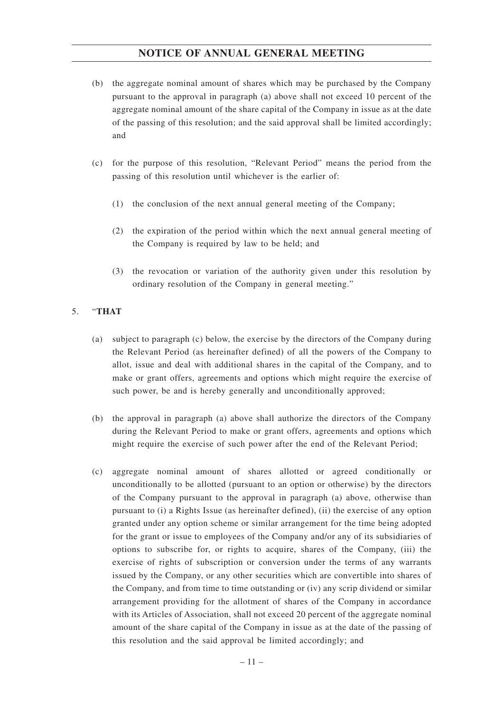### **NOTICE OF ANNUAL GENERAL MEETING**

- (b) the aggregate nominal amount of shares which may be purchased by the Company pursuant to the approval in paragraph (a) above shall not exceed 10 percent of the aggregate nominal amount of the share capital of the Company in issue as at the date of the passing of this resolution; and the said approval shall be limited accordingly; and
- (c) for the purpose of this resolution, "Relevant Period" means the period from the passing of this resolution until whichever is the earlier of:
	- (1) the conclusion of the next annual general meeting of the Company;
	- (2) the expiration of the period within which the next annual general meeting of the Company is required by law to be held; and
	- (3) the revocation or variation of the authority given under this resolution by ordinary resolution of the Company in general meeting."

### 5. "**THAT**

- (a) subject to paragraph (c) below, the exercise by the directors of the Company during the Relevant Period (as hereinafter defined) of all the powers of the Company to allot, issue and deal with additional shares in the capital of the Company, and to make or grant offers, agreements and options which might require the exercise of such power, be and is hereby generally and unconditionally approved;
- (b) the approval in paragraph (a) above shall authorize the directors of the Company during the Relevant Period to make or grant offers, agreements and options which might require the exercise of such power after the end of the Relevant Period;
- (c) aggregate nominal amount of shares allotted or agreed conditionally or unconditionally to be allotted (pursuant to an option or otherwise) by the directors of the Company pursuant to the approval in paragraph (a) above, otherwise than pursuant to (i) a Rights Issue (as hereinafter defined), (ii) the exercise of any option granted under any option scheme or similar arrangement for the time being adopted for the grant or issue to employees of the Company and/or any of its subsidiaries of options to subscribe for, or rights to acquire, shares of the Company, (iii) the exercise of rights of subscription or conversion under the terms of any warrants issued by the Company, or any other securities which are convertible into shares of the Company, and from time to time outstanding or (iv) any scrip dividend or similar arrangement providing for the allotment of shares of the Company in accordance with its Articles of Association, shall not exceed 20 percent of the aggregate nominal amount of the share capital of the Company in issue as at the date of the passing of this resolution and the said approval be limited accordingly; and